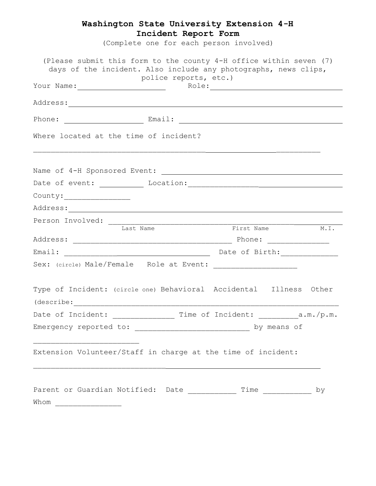## **Washington State University Extension 4-H Incident Report Form**

(Complete one for each person involved)

| (Please submit this form to the county 4-H office within seven (7)<br>days of the incident. Also include any photographs, news clips,                           | police reports, etc.) |             |                       |      |  |
|-----------------------------------------------------------------------------------------------------------------------------------------------------------------|-----------------------|-------------|-----------------------|------|--|
|                                                                                                                                                                 |                       |             |                       |      |  |
|                                                                                                                                                                 |                       |             |                       |      |  |
|                                                                                                                                                                 |                       |             |                       |      |  |
| Where located at the time of incident?<br><u> 1989 - Johann Harry Harry Harry Harry Harry Harry Harry Harry Harry Harry Harry Harry Harry Harry Harry Harry</u> |                       |             |                       |      |  |
|                                                                                                                                                                 |                       |             |                       |      |  |
|                                                                                                                                                                 |                       |             |                       |      |  |
| Country:                                                                                                                                                        |                       |             |                       |      |  |
|                                                                                                                                                                 |                       |             |                       |      |  |
|                                                                                                                                                                 |                       |             |                       |      |  |
| Last Name                                                                                                                                                       |                       | First Name  |                       | M.I. |  |
|                                                                                                                                                                 |                       |             |                       |      |  |
|                                                                                                                                                                 |                       |             |                       |      |  |
|                                                                                                                                                                 |                       |             |                       |      |  |
| Type of Incident: (circle one) Behavioral Accidental Illness Other                                                                                              |                       |             |                       |      |  |
| Date of Incident: ___________________ Time of Incident: __________a.m./p.m.                                                                                     |                       |             |                       |      |  |
| Emergency reported to:                                                                                                                                          |                       | by means of |                       |      |  |
| Extension Volunteer/Staff in charge at the time of incident:                                                                                                    |                       |             |                       |      |  |
| Parent or Guardian Notified: Date ____________<br>Whom                                                                                                          |                       |             | $Time$ ______________ | by   |  |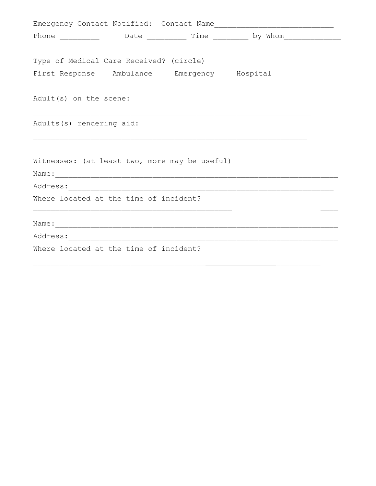|                                               |  |                                         |                                             | Phone _______________________ Date _____________ Time ____________ by Whom__________________________ |  |  |
|-----------------------------------------------|--|-----------------------------------------|---------------------------------------------|------------------------------------------------------------------------------------------------------|--|--|
|                                               |  |                                         |                                             |                                                                                                      |  |  |
|                                               |  | Type of Medical Care Received? (circle) |                                             |                                                                                                      |  |  |
|                                               |  |                                         | First Response Ambulance Emergency Hospital |                                                                                                      |  |  |
|                                               |  |                                         |                                             |                                                                                                      |  |  |
| Adult(s) on the scene:                        |  |                                         |                                             |                                                                                                      |  |  |
|                                               |  |                                         |                                             |                                                                                                      |  |  |
| Adults(s) rendering aid:                      |  |                                         |                                             |                                                                                                      |  |  |
|                                               |  |                                         |                                             |                                                                                                      |  |  |
|                                               |  |                                         |                                             |                                                                                                      |  |  |
| Witnesses: (at least two, more may be useful) |  |                                         |                                             |                                                                                                      |  |  |
|                                               |  |                                         |                                             |                                                                                                      |  |  |
|                                               |  |                                         |                                             |                                                                                                      |  |  |
|                                               |  | Where located at the time of incident?  |                                             |                                                                                                      |  |  |
|                                               |  |                                         |                                             |                                                                                                      |  |  |
|                                               |  |                                         |                                             |                                                                                                      |  |  |
|                                               |  |                                         |                                             |                                                                                                      |  |  |
|                                               |  | Where located at the time of incident?  |                                             |                                                                                                      |  |  |
|                                               |  |                                         |                                             |                                                                                                      |  |  |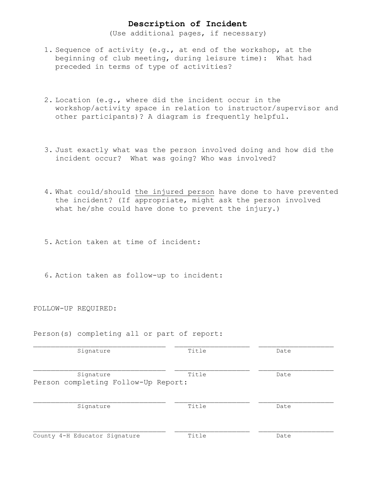## **Description of Incident**

(Use additional pages, if necessary)

- 1. Sequence of activity (e.g., at end of the workshop, at the beginning of club meeting, during leisure time): What had preceded in terms of type of activities?
- 2. Location (e.g., where did the incident occur in the workshop/activity space in relation to instructor/supervisor and other participants)? A diagram is frequently helpful.
- 3. Just exactly what was the person involved doing and how did the incident occur? What was going? Who was involved?
- 4. What could/should the injured person have done to have prevented the incident? (If appropriate, might ask the person involved what he/she could have done to prevent the injury.)
- 5. Action taken at time of incident:
- 6. Action taken as follow-up to incident:

FOLLOW-UP REQUIRED:

Person(s) completing all or part of report:

| Signature                           | Title | Date |
|-------------------------------------|-------|------|
| Signature                           | Title | Date |
| Person completing Follow-Up Report: |       |      |
| Signature                           | Title | Date |
| County 4-H Educator Signature       | Title | Date |